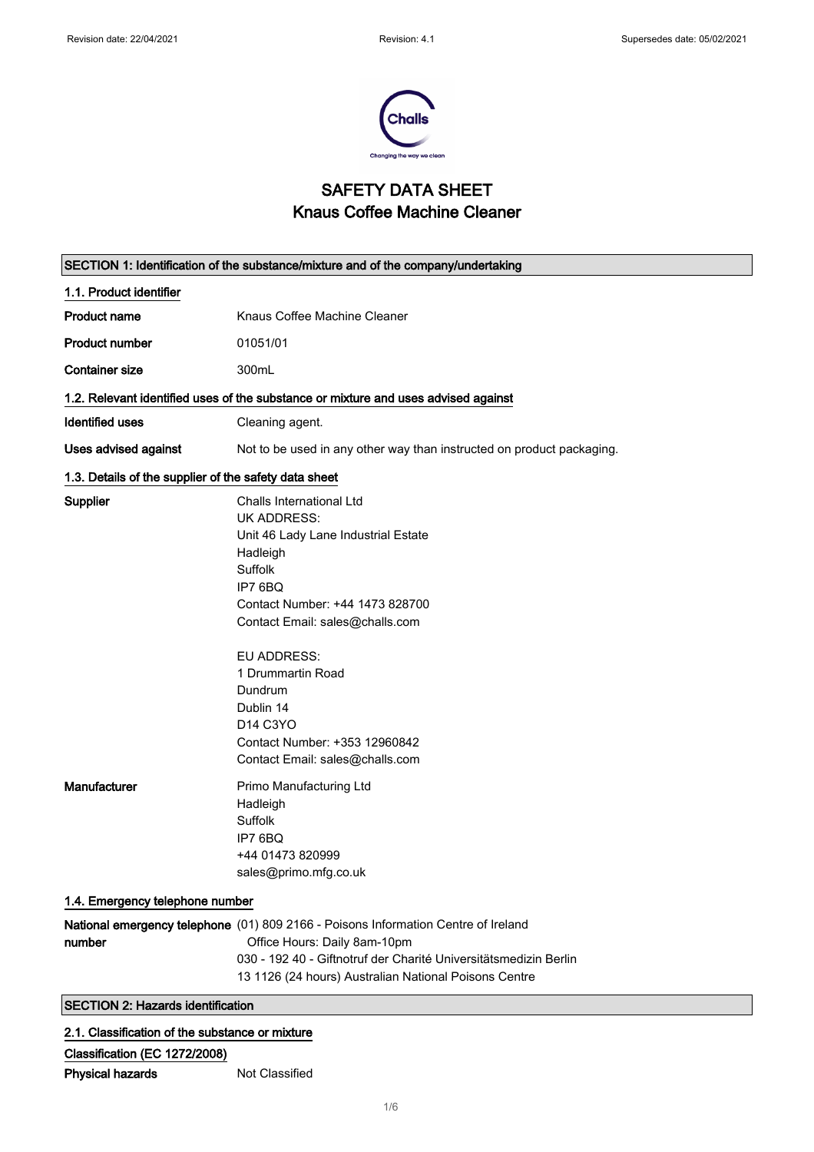

## SAFETY DATA SHEET Knaus Coffee Machine Cleaner

|                                                       | SECTION 1: Identification of the substance/mixture and of the company/undertaking                                                                                                                                                                                                                                                                                         |  |  |
|-------------------------------------------------------|---------------------------------------------------------------------------------------------------------------------------------------------------------------------------------------------------------------------------------------------------------------------------------------------------------------------------------------------------------------------------|--|--|
| 1.1. Product identifier                               |                                                                                                                                                                                                                                                                                                                                                                           |  |  |
| <b>Product name</b>                                   | Knaus Coffee Machine Cleaner                                                                                                                                                                                                                                                                                                                                              |  |  |
| <b>Product number</b>                                 | 01051/01                                                                                                                                                                                                                                                                                                                                                                  |  |  |
| <b>Container size</b>                                 | 300mL                                                                                                                                                                                                                                                                                                                                                                     |  |  |
|                                                       | 1.2. Relevant identified uses of the substance or mixture and uses advised against                                                                                                                                                                                                                                                                                        |  |  |
| <b>Identified uses</b>                                | Cleaning agent.                                                                                                                                                                                                                                                                                                                                                           |  |  |
| <b>Uses advised against</b>                           | Not to be used in any other way than instructed on product packaging.                                                                                                                                                                                                                                                                                                     |  |  |
| 1.3. Details of the supplier of the safety data sheet |                                                                                                                                                                                                                                                                                                                                                                           |  |  |
| <b>Supplier</b>                                       | Challs International Ltd<br><b>UK ADDRESS:</b><br>Unit 46 Lady Lane Industrial Estate<br>Hadleigh<br>Suffolk<br>IP7 6BQ<br>Contact Number: +44 1473 828700<br>Contact Email: sales@challs.com<br><b>EU ADDRESS:</b><br>1 Drummartin Road<br>Dundrum<br>Dublin 14<br>D <sub>14</sub> C <sub>3</sub> YO<br>Contact Number: +353 12960842<br>Contact Email: sales@challs.com |  |  |
| Manufacturer                                          | Primo Manufacturing Ltd<br>Hadleigh<br>Suffolk<br>IP7 6BQ<br>+44 01473 820999<br>sales@primo.mfg.co.uk                                                                                                                                                                                                                                                                    |  |  |
| 1.4. Emergency telephone number                       |                                                                                                                                                                                                                                                                                                                                                                           |  |  |
| number                                                | National emergency telephone (01) 809 2166 - Poisons Information Centre of Ireland<br>Office Hours: Daily 8am-10pm<br>030 - 192 40 - Giftnotruf der Charité Universitätsmedizin Berlin<br>13 1126 (24 hours) Australian National Poisons Centre                                                                                                                           |  |  |
| <b>SECTION 2: Hazards identification</b>              |                                                                                                                                                                                                                                                                                                                                                                           |  |  |

### 2.1. Classification of the substance or mixture

Classification (EC 1272/2008) Physical hazards Not Classified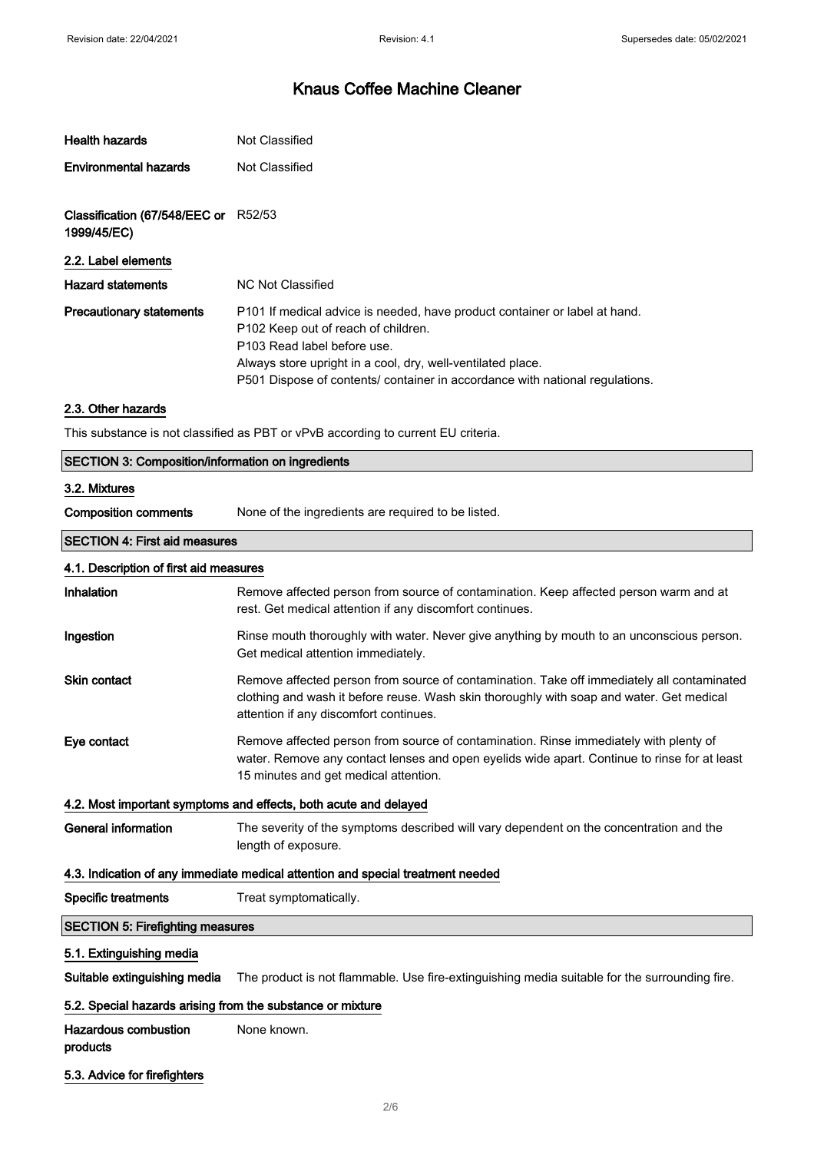| <b>Health hazards</b>                               | Not Classified                                                                                                                                                                                                              |  |
|-----------------------------------------------------|-----------------------------------------------------------------------------------------------------------------------------------------------------------------------------------------------------------------------------|--|
| <b>Environmental hazards</b>                        | Not Classified                                                                                                                                                                                                              |  |
|                                                     |                                                                                                                                                                                                                             |  |
| Classification (67/548/EEC or R52/53<br>1999/45/EC) |                                                                                                                                                                                                                             |  |
| 2.2. Label elements                                 |                                                                                                                                                                                                                             |  |
| <b>Hazard statements</b>                            | NC Not Classified                                                                                                                                                                                                           |  |
| <b>Precautionary statements</b>                     | P101 If medical advice is needed, have product container or label at hand.<br>P <sub>102</sub> Keep out of reach of children.<br>P103 Read label before use.<br>Always store upright in a cool, dry, well-ventilated place. |  |
|                                                     | P501 Dispose of contents/ container in accordance with national regulations.                                                                                                                                                |  |

### 2.3. Other hazards

This substance is not classified as PBT or vPvB according to current EU criteria.

| <b>SECTION 3: Composition/information on ingredients</b> |                                                                                                                                                                                                                                  |  |  |  |
|----------------------------------------------------------|----------------------------------------------------------------------------------------------------------------------------------------------------------------------------------------------------------------------------------|--|--|--|
| 3.2. Mixtures                                            |                                                                                                                                                                                                                                  |  |  |  |
| <b>Composition comments</b>                              | None of the ingredients are required to be listed.                                                                                                                                                                               |  |  |  |
| <b>SECTION 4: First aid measures</b>                     |                                                                                                                                                                                                                                  |  |  |  |
| 4.1. Description of first aid measures                   |                                                                                                                                                                                                                                  |  |  |  |
| Inhalation                                               | Remove affected person from source of contamination. Keep affected person warm and at<br>rest. Get medical attention if any discomfort continues.                                                                                |  |  |  |
| Ingestion                                                | Rinse mouth thoroughly with water. Never give anything by mouth to an unconscious person.<br>Get medical attention immediately.                                                                                                  |  |  |  |
| <b>Skin contact</b>                                      | Remove affected person from source of contamination. Take off immediately all contaminated<br>clothing and wash it before reuse. Wash skin thoroughly with soap and water. Get medical<br>attention if any discomfort continues. |  |  |  |
| Eye contact                                              | Remove affected person from source of contamination. Rinse immediately with plenty of<br>water. Remove any contact lenses and open eyelids wide apart. Continue to rinse for at least<br>15 minutes and get medical attention.   |  |  |  |
|                                                          | 4.2. Most important symptoms and effects, both acute and delayed                                                                                                                                                                 |  |  |  |
| <b>General information</b>                               | The severity of the symptoms described will vary dependent on the concentration and the<br>length of exposure.                                                                                                                   |  |  |  |
|                                                          | 4.3. Indication of any immediate medical attention and special treatment needed                                                                                                                                                  |  |  |  |
| <b>Specific treatments</b>                               | Treat symptomatically.                                                                                                                                                                                                           |  |  |  |
| <b>SECTION 5: Firefighting measures</b>                  |                                                                                                                                                                                                                                  |  |  |  |
| 5.1. Extinguishing media                                 |                                                                                                                                                                                                                                  |  |  |  |

Suitable extinguishing media The product is not flammable. Use fire-extinguishing media suitable for the surrounding fire.

### 5.2. Special hazards arising from the substance or mixture

Hazardous combustion products None known.

5.3. Advice for firefighters

 $\overline{\phantom{a}}$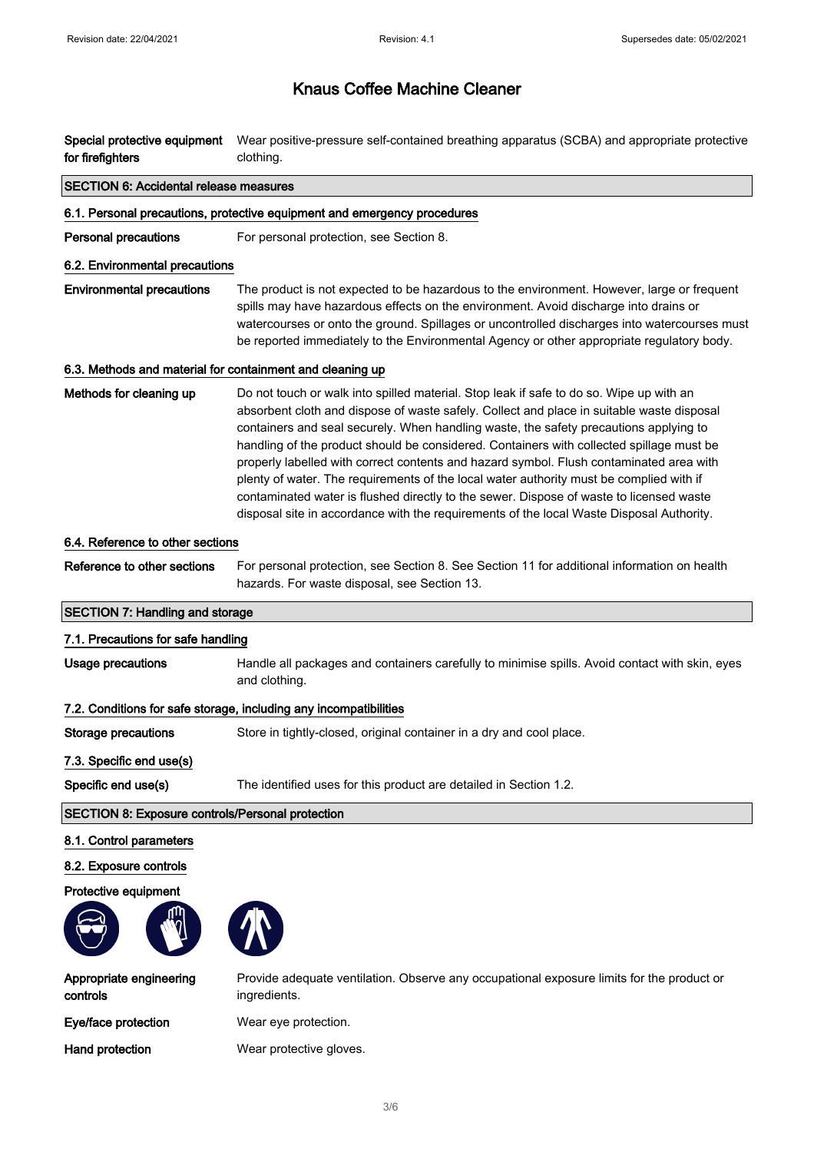| Special protective equipment<br>for firefighters          | Wear positive-pressure self-contained breathing apparatus (SCBA) and appropriate protective<br>clothing.                                                                                                                                                                                                                                                                                                                                                                                                                                                                                                                                                                                                                                               |  |  |  |
|-----------------------------------------------------------|--------------------------------------------------------------------------------------------------------------------------------------------------------------------------------------------------------------------------------------------------------------------------------------------------------------------------------------------------------------------------------------------------------------------------------------------------------------------------------------------------------------------------------------------------------------------------------------------------------------------------------------------------------------------------------------------------------------------------------------------------------|--|--|--|
| <b>SECTION 6: Accidental release measures</b>             |                                                                                                                                                                                                                                                                                                                                                                                                                                                                                                                                                                                                                                                                                                                                                        |  |  |  |
|                                                           | 6.1. Personal precautions, protective equipment and emergency procedures                                                                                                                                                                                                                                                                                                                                                                                                                                                                                                                                                                                                                                                                               |  |  |  |
| <b>Personal precautions</b>                               | For personal protection, see Section 8.                                                                                                                                                                                                                                                                                                                                                                                                                                                                                                                                                                                                                                                                                                                |  |  |  |
| 6.2. Environmental precautions                            |                                                                                                                                                                                                                                                                                                                                                                                                                                                                                                                                                                                                                                                                                                                                                        |  |  |  |
| <b>Environmental precautions</b>                          | The product is not expected to be hazardous to the environment. However, large or frequent<br>spills may have hazardous effects on the environment. Avoid discharge into drains or<br>watercourses or onto the ground. Spillages or uncontrolled discharges into watercourses must<br>be reported immediately to the Environmental Agency or other appropriate regulatory body.                                                                                                                                                                                                                                                                                                                                                                        |  |  |  |
| 6.3. Methods and material for containment and cleaning up |                                                                                                                                                                                                                                                                                                                                                                                                                                                                                                                                                                                                                                                                                                                                                        |  |  |  |
| Methods for cleaning up                                   | Do not touch or walk into spilled material. Stop leak if safe to do so. Wipe up with an<br>absorbent cloth and dispose of waste safely. Collect and place in suitable waste disposal<br>containers and seal securely. When handling waste, the safety precautions applying to<br>handling of the product should be considered. Containers with collected spillage must be<br>properly labelled with correct contents and hazard symbol. Flush contaminated area with<br>plenty of water. The requirements of the local water authority must be complied with if<br>contaminated water is flushed directly to the sewer. Dispose of waste to licensed waste<br>disposal site in accordance with the requirements of the local Waste Disposal Authority. |  |  |  |
| 6.4. Reference to other sections                          |                                                                                                                                                                                                                                                                                                                                                                                                                                                                                                                                                                                                                                                                                                                                                        |  |  |  |
| Reference to other sections                               | For personal protection, see Section 8. See Section 11 for additional information on health<br>hazards. For waste disposal, see Section 13.                                                                                                                                                                                                                                                                                                                                                                                                                                                                                                                                                                                                            |  |  |  |
| <b>SECTION 7: Handling and storage</b>                    |                                                                                                                                                                                                                                                                                                                                                                                                                                                                                                                                                                                                                                                                                                                                                        |  |  |  |
| 7.1. Precautions for safe handling                        |                                                                                                                                                                                                                                                                                                                                                                                                                                                                                                                                                                                                                                                                                                                                                        |  |  |  |
| <b>Usage precautions</b>                                  | Handle all packages and containers carefully to minimise spills. Avoid contact with skin, eyes<br>and clothing.                                                                                                                                                                                                                                                                                                                                                                                                                                                                                                                                                                                                                                        |  |  |  |
|                                                           | 7.2. Conditions for safe storage, including any incompatibilities                                                                                                                                                                                                                                                                                                                                                                                                                                                                                                                                                                                                                                                                                      |  |  |  |
| <b>Storage precautions</b>                                | Store in tightly-closed, original container in a dry and cool place                                                                                                                                                                                                                                                                                                                                                                                                                                                                                                                                                                                                                                                                                    |  |  |  |
| 7.3. Specific end use(s)                                  |                                                                                                                                                                                                                                                                                                                                                                                                                                                                                                                                                                                                                                                                                                                                                        |  |  |  |
| Specific end use(s)                                       | The identified uses for this product are detailed in Section 1.2.                                                                                                                                                                                                                                                                                                                                                                                                                                                                                                                                                                                                                                                                                      |  |  |  |
| <b>SECTION 8: Exposure controls/Personal protection</b>   |                                                                                                                                                                                                                                                                                                                                                                                                                                                                                                                                                                                                                                                                                                                                                        |  |  |  |
| 8.1. Control parameters                                   |                                                                                                                                                                                                                                                                                                                                                                                                                                                                                                                                                                                                                                                                                                                                                        |  |  |  |
| 8.2. Exposure controls                                    |                                                                                                                                                                                                                                                                                                                                                                                                                                                                                                                                                                                                                                                                                                                                                        |  |  |  |
| Protective equipment                                      |                                                                                                                                                                                                                                                                                                                                                                                                                                                                                                                                                                                                                                                                                                                                                        |  |  |  |
|                                                           |                                                                                                                                                                                                                                                                                                                                                                                                                                                                                                                                                                                                                                                                                                                                                        |  |  |  |
| Appropriate engineering<br>controls                       | Provide adequate ventilation. Observe any occupational exposure limits for the product or<br>ingredients.                                                                                                                                                                                                                                                                                                                                                                                                                                                                                                                                                                                                                                              |  |  |  |

Eye/face protection Wear eye protection.

Hand protection Wear protective gloves.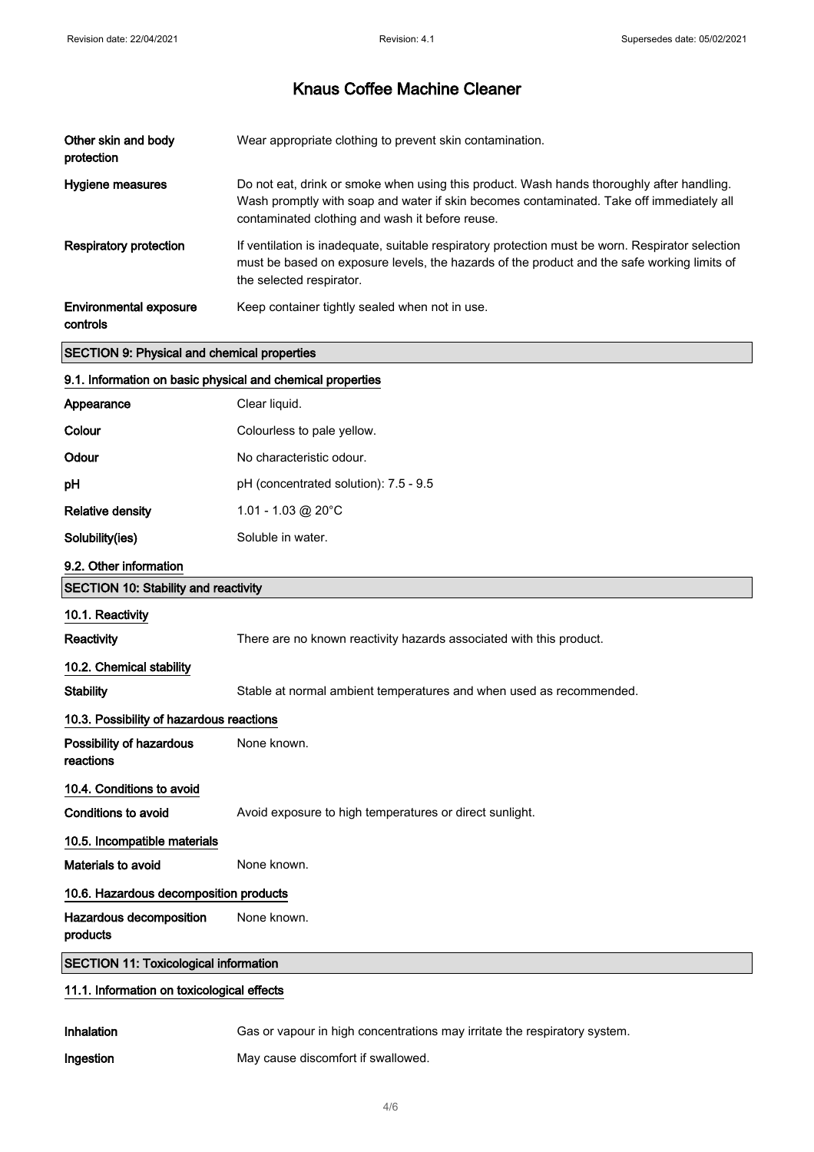| Other skin and body<br>protection         | Wear appropriate clothing to prevent skin contamination.                                                                                                                                                                                 |
|-------------------------------------------|------------------------------------------------------------------------------------------------------------------------------------------------------------------------------------------------------------------------------------------|
| Hygiene measures                          | Do not eat, drink or smoke when using this product. Wash hands thoroughly after handling.<br>Wash promptly with soap and water if skin becomes contaminated. Take off immediately all<br>contaminated clothing and wash it before reuse. |
| <b>Respiratory protection</b>             | If ventilation is inadequate, suitable respiratory protection must be worn. Respirator selection<br>must be based on exposure levels, the hazards of the product and the safe working limits of<br>the selected respirator.              |
| <b>Environmental exposure</b><br>controls | Keep container tightly sealed when not in use.                                                                                                                                                                                           |

## SECTION 9: Physical and chemical properties

| 9.1. Information on basic physical and chemical properties |                                                                           |  |  |  |
|------------------------------------------------------------|---------------------------------------------------------------------------|--|--|--|
| Appearance                                                 | Clear liquid.                                                             |  |  |  |
| Colour                                                     | Colourless to pale yellow.                                                |  |  |  |
| Odour                                                      | No characteristic odour.                                                  |  |  |  |
| pH                                                         | pH (concentrated solution): 7.5 - 9.5                                     |  |  |  |
| <b>Relative density</b>                                    | 1.01 - 1.03 @ 20 $^{\circ}$ C                                             |  |  |  |
| Solubility(ies)                                            | Soluble in water.                                                         |  |  |  |
| 9.2. Other information                                     |                                                                           |  |  |  |
| <b>SECTION 10: Stability and reactivity</b>                |                                                                           |  |  |  |
| 10.1. Reactivity                                           |                                                                           |  |  |  |
| Reactivity                                                 | There are no known reactivity hazards associated with this product.       |  |  |  |
| 10.2. Chemical stability                                   |                                                                           |  |  |  |
| <b>Stability</b>                                           | Stable at normal ambient temperatures and when used as recommended.       |  |  |  |
| 10.3. Possibility of hazardous reactions                   |                                                                           |  |  |  |
| Possibility of hazardous<br>reactions                      | None known.                                                               |  |  |  |
| 10.4. Conditions to avoid                                  |                                                                           |  |  |  |
| <b>Conditions to avoid</b>                                 | Avoid exposure to high temperatures or direct sunlight.                   |  |  |  |
| 10.5. Incompatible materials                               |                                                                           |  |  |  |
| Materials to avoid                                         | None known.                                                               |  |  |  |
| 10.6. Hazardous decomposition products                     |                                                                           |  |  |  |
| Hazardous decomposition<br>products                        | None known.                                                               |  |  |  |
| <b>SECTION 11: Toxicological information</b>               |                                                                           |  |  |  |
| 11.1. Information on toxicological effects                 |                                                                           |  |  |  |
| Inhalation                                                 | Gas or vapour in high concentrations may irritate the respiratory system. |  |  |  |

Ingestion May cause discomfort if swallowed.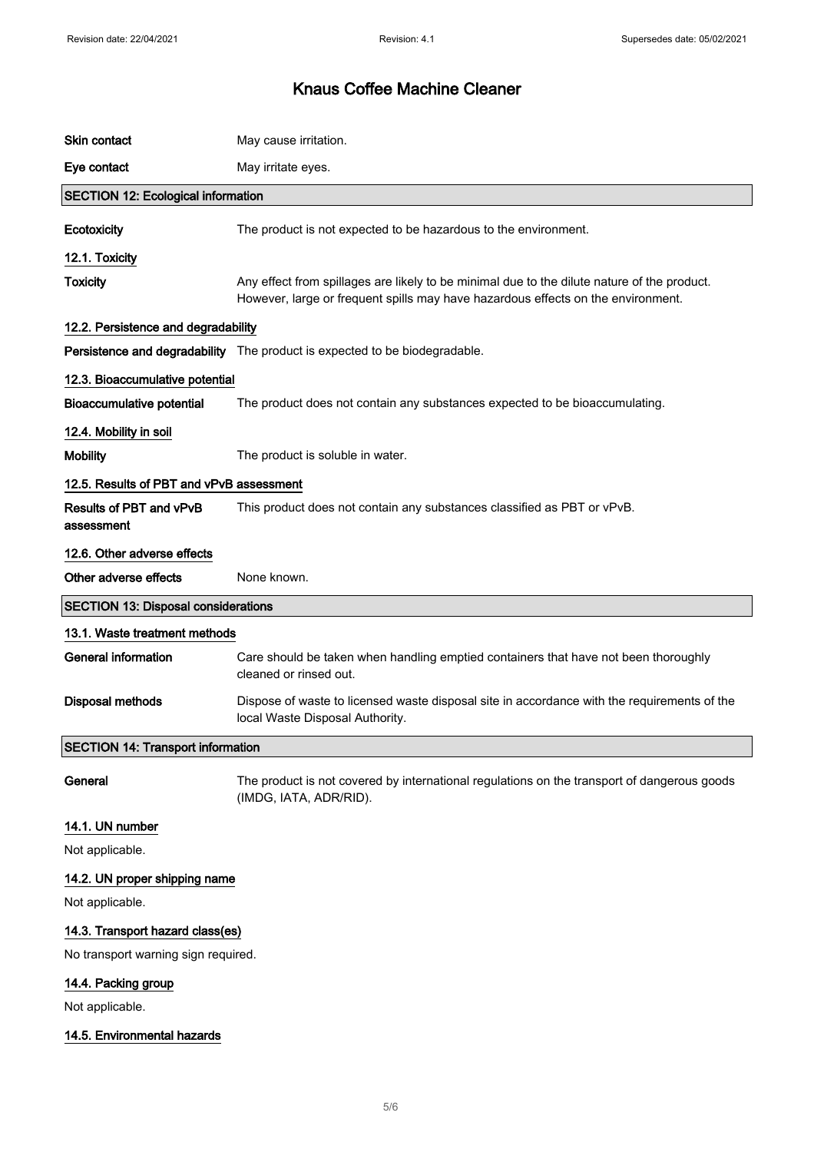| Skin contact                               | May cause irritation.                                                                                                                                                           |  |  |  |
|--------------------------------------------|---------------------------------------------------------------------------------------------------------------------------------------------------------------------------------|--|--|--|
| Eye contact                                | May irritate eyes.                                                                                                                                                              |  |  |  |
| <b>SECTION 12: Ecological information</b>  |                                                                                                                                                                                 |  |  |  |
| Ecotoxicity                                | The product is not expected to be hazardous to the environment.                                                                                                                 |  |  |  |
| 12.1. Toxicity                             |                                                                                                                                                                                 |  |  |  |
| <b>Toxicity</b>                            | Any effect from spillages are likely to be minimal due to the dilute nature of the product.<br>However, large or frequent spills may have hazardous effects on the environment. |  |  |  |
| 12.2. Persistence and degradability        |                                                                                                                                                                                 |  |  |  |
|                                            | Persistence and degradability The product is expected to be biodegradable.                                                                                                      |  |  |  |
| 12.3. Bioaccumulative potential            |                                                                                                                                                                                 |  |  |  |
| <b>Bioaccumulative potential</b>           | The product does not contain any substances expected to be bioaccumulating.                                                                                                     |  |  |  |
| 12.4. Mobility in soil                     |                                                                                                                                                                                 |  |  |  |
| <b>Mobility</b>                            | The product is soluble in water.                                                                                                                                                |  |  |  |
| 12.5. Results of PBT and vPvB assessment   |                                                                                                                                                                                 |  |  |  |
| Results of PBT and vPvB<br>assessment      | This product does not contain any substances classified as PBT or vPvB.                                                                                                         |  |  |  |
| 12.6. Other adverse effects                |                                                                                                                                                                                 |  |  |  |
| Other adverse effects                      | None known.                                                                                                                                                                     |  |  |  |
| <b>SECTION 13: Disposal considerations</b> |                                                                                                                                                                                 |  |  |  |
| 13.1. Waste treatment methods              |                                                                                                                                                                                 |  |  |  |
| <b>General information</b>                 | Care should be taken when handling emptied containers that have not been thoroughly<br>cleaned or rinsed out.                                                                   |  |  |  |
| <b>Disposal methods</b>                    | Dispose of waste to licensed waste disposal site in accordance with the requirements of the<br>local Waste Disposal Authority.                                                  |  |  |  |
| <b>SECTION 14: Transport information</b>   |                                                                                                                                                                                 |  |  |  |
| General                                    | The product is not covered by international regulations on the transport of dangerous goods<br>(IMDG, IATA, ADR/RID).                                                           |  |  |  |
| 14.1. UN number                            |                                                                                                                                                                                 |  |  |  |
| Not applicable.                            |                                                                                                                                                                                 |  |  |  |
| 14.2. UN proper shipping name              |                                                                                                                                                                                 |  |  |  |
| Not applicable.                            |                                                                                                                                                                                 |  |  |  |
| 14.3. Transport hazard class(es)           |                                                                                                                                                                                 |  |  |  |
| No transport warning sign required.        |                                                                                                                                                                                 |  |  |  |
| 14.4. Packing group                        |                                                                                                                                                                                 |  |  |  |
| Not applicable.                            |                                                                                                                                                                                 |  |  |  |

### 14.5. Environmental hazards